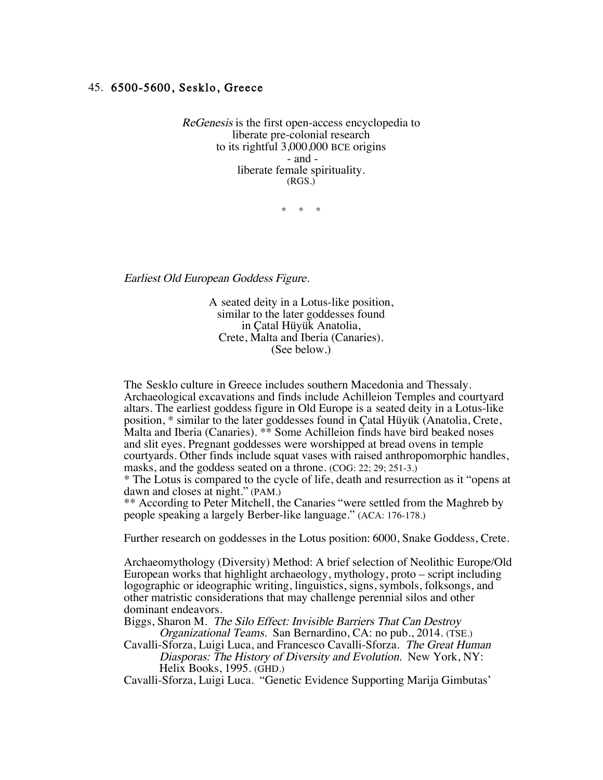## 45. 6500-5600, Sesklo, Greece

ReGenesis is the first open-access encyclopedia to liberate pre-colonial research to its rightful 3,000,000 BCE origins - and liberate female spirituality. (RGS.)

\* \* \*

Earliest Old European Goddess Figure.

A seated deity in a Lotus-like position, similar to the later goddesses found in Çatal Hüyük Anatolia, Crete, Malta and Iberia (Canaries). (See below.)

 The Sesklo culture in Greece includes southern Macedonia and Thessaly. Archaeological excavations and finds include Achilleion Temples and courtyard altars. The earliest goddess figure in Old Europe is a seated deity in a Lotus-like position, \* similar to the later goddesses found in Çatal Hüyük (Anatolia, Crete, Malta and Iberia (Canaries). \*\* Some Achilleion finds have bird beaked noses and slit eyes. Pregnant goddesses were worshipped at bread ovens in temple courtyards. Other finds include squat vases with raised anthropomorphic handles, masks, and the goddess seated on a throne. (COG: 22; 29; 251-3.)

\* The Lotus is compared to the cycle of life, death and resurrection as it "opens at dawn and closes at night." (PAM.)

\*\* According to Peter Mitchell, the Canaries "were settled from the Maghreb by people speaking a largely Berber-like language." (ACA: 176-178.)

Further research on goddesses in the Lotus position: 6000, Snake Goddess, Crete.

Archaeomythology (Diversity) Method: A brief selection of Neolithic Europe/Old European works that highlight archaeology, mythology, proto – script including logographic or ideographic writing, linguistics, signs, symbols, folksongs, and other matristic considerations that may challenge perennial silos and other dominant endeavors.

Biggs, Sharon M. The Silo Effect: Invisible Barriers That Can Destroy Organizational Teams. San Bernardino, CA: no pub., 2014. (TSE.)

Cavalli-Sforza, Luigi Luca, and Francesco Cavalli-Sforza. The Great Human Diasporas: The History of Diversity and Evolution. New York, NY: Helix Books, 1995. (GHD.)

Cavalli-Sforza, Luigi Luca. "Genetic Evidence Supporting Marija Gimbutas'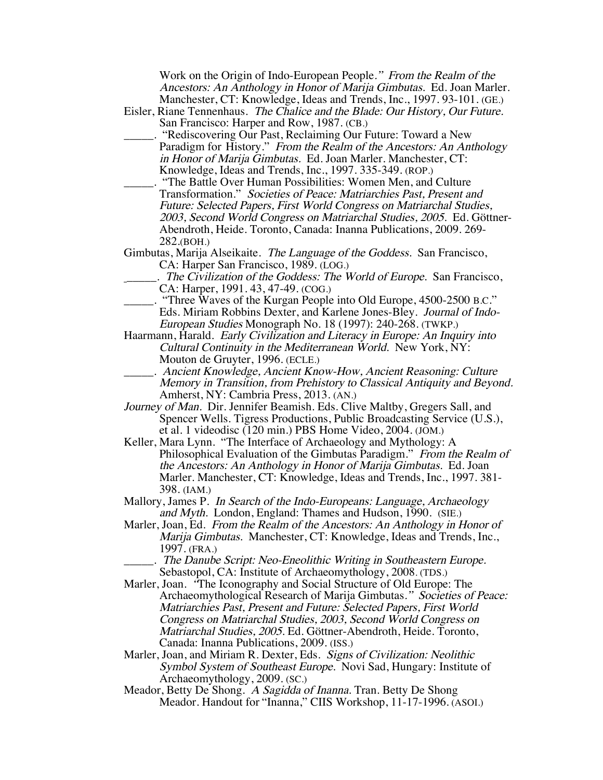Work on the Origin of Indo-European People." From the Realm of the Ancestors: An Anthology in Honor of Marija Gimbutas. Ed. Joan Marler. Manchester, CT: Knowledge, Ideas and Trends, Inc., 1997. 93-101. (GE.)

- Eisler, Riane Tennenhaus. The Chalice and the Blade: Our History, Our Future. San Francisco: Harper and Row, 1987. (CB.)
	- "Rediscovering Our Past, Reclaiming Our Future: Toward a New Paradigm for History." From the Realm of the Ancestors: An Anthology in Honor of Marija Gimbutas. Ed. Joan Marler. Manchester, CT: Knowledge, Ideas and Trends, Inc., 1997. 335-349. (ROP.)
- \_\_\_\_\_. "The Battle Over Human Possibilities: Women Men, and Culture Transformation." Societies of Peace: Matriarchies Past, Present and Future: Selected Papers, First World Congress on Matriarchal Studies, 2003, Second World Congress on Matriarchal Studies, 2005. Ed. Göttner-Abendroth, Heide. Toronto, Canada: Inanna Publications, 2009. 269- 282.(BOH.)

Gimbutas, Marija Alseikaite. The Language of the Goddess. San Francisco, CA: Harper San Francisco, 1989. (LOG.)

- . The Civilization of the Goddess: The World of Europe. San Francisco, CA: Harper, 1991. 43, 47-49. (COG.)
- \_\_\_\_\_. "Three Waves of the Kurgan People into Old Europe, 4500-2500 B.C." Eds. Miriam Robbins Dexter, and Karlene Jones-Bley. Journal of Indo-European Studies Monograph No. 18 (1997): 240-268. (TWKP.)
- Haarmann, Harald. Early Civilization and Literacy in Europe: An Inquiry into Cultural Continuity in the Mediterranean World. New York, NY: Mouton de Gruyter, 1996. (ECLE.)
- \_\_\_\_\_. Ancient Knowledge, Ancient Know-How, Ancient Reasoning: Culture Memory in Transition, from Prehistory to Classical Antiquity and Beyond. Amherst, NY: Cambria Press, 2013. (AN.)
- Journey of Man. Dir. Jennifer Beamish. Eds. Clive Maltby, Gregers Sall, and Spencer Wells. Tigress Productions, Public Broadcasting Service (U.S.), et al. 1 videodisc (120 min.) PBS Home Video, 2004. (JOM.)
- Keller, Mara Lynn. "The Interface of Archaeology and Mythology: A Philosophical Evaluation of the Gimbutas Paradigm." From the Realm of the Ancestors: An Anthology in Honor of Marija Gimbutas. Ed. Joan Marler. Manchester, CT: Knowledge, Ideas and Trends, Inc., 1997. 381- 398. (IAM.)
- Mallory, James P. In Search of the Indo-Europeans: Language, Archaeology and Myth. London, England: Thames and Hudson, 1990. (SIE.)
- Marler, Joan, Ed. From the Realm of the Ancestors: An Anthology in Honor of Marija Gimbutas. Manchester, CT: Knowledge, Ideas and Trends, Inc., 1997. (FRA.)
	- The Danube Script: Neo-Eneolithic Writing in Southeastern Europe. Sebastopol, CA: Institute of Archaeomythology, 2008. (TDS.)
- Marler, Joan. "The Iconography and Social Structure of Old Europe: The Archaeomythological Research of Marija Gimbutas." Societies of Peace: Matriarchies Past, Present and Future: Selected Papers, First World Congress on Matriarchal Studies, 2003, Second World Congress on Matriarchal Studies, 2005. Ed. Göttner-Abendroth, Heide. Toronto, Canada: Inanna Publications, 2009. (ISS.)
- Marler, Joan, and Miriam R. Dexter, Eds. Signs of Civilization: Neolithic Symbol System of Southeast Europe. Novi Sad, Hungary: Institute of Archaeomythology, 2009. (SC.)
- Meador, Betty De Shong. A Sagidda of Inanna. Tran. Betty De Shong Meador. Handout for "Inanna," CIIS Workshop, 11-17-1996. (ASOI.)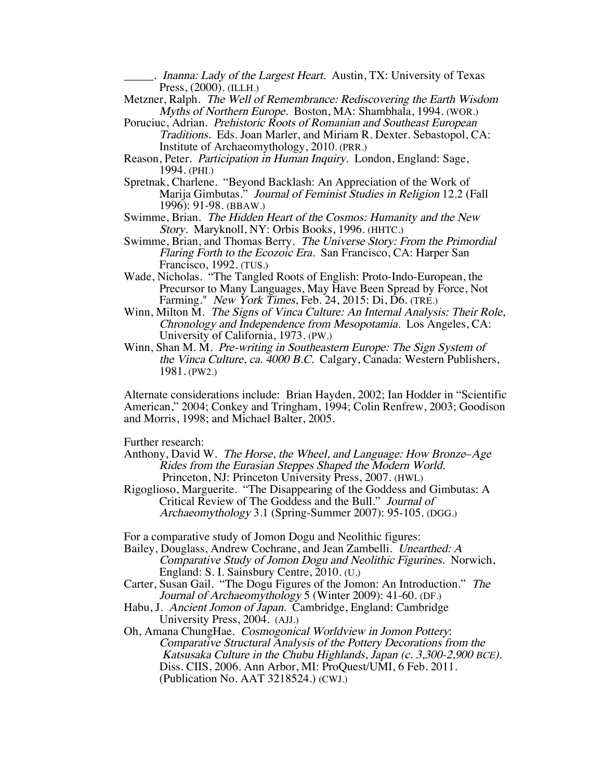. Inanna: Lady of the Largest Heart. Austin, TX: University of Texas Press, (2000). (ILLH.)

- Metzner, Ralph. The Well of Remembrance: Rediscovering the Earth Wisdom Myths of Northern Europe. Boston, MA: Shambhala, 1994. (WOR.)
- Poruciuc, Adrian. Prehistoric Roots of Romanian and Southeast European Traditions. Eds. Joan Marler, and Miriam R. Dexter. Sebastopol, CA: Institute of Archaeomythology, 2010. (PRR.)
- Reason, Peter. Participation in Human Inquiry. London, England: Sage, 1994. (PHI.)
- Spretnak, Charlene. "Beyond Backlash: An Appreciation of the Work of Marija Gimbutas." Journal of Feminist Studies in Religion 12.2 (Fall 1996): 91-98. (BBAW.)
- Swimme, Brian. The Hidden Heart of the Cosmos: Humanity and the New Story. Maryknoll, NY: Orbis Books, 1996. (HHTC.)
- Swimme, Brian, and Thomas Berry. The Universe Story: From the Primordial Flaring Forth to the Ecozoic Era. San Francisco, CA: Harper San Francisco, 1992. (TUS.)
- Wade, Nicholas. "The Tangled Roots of English: Proto-Indo-European, the Precursor to Many Languages, May Have Been Spread by Force, Not Farming." New York Times, Feb. 24, 2015: Di, D6. (TRE.)
- Winn, Milton M. The Signs of Vinca Culture: An Internal Analysis: Their Role, Chronology and Independence from Mesopotamia. Los Angeles, CA: University of California, 1973. (PW.)
- Winn, Shan M. M. Pre-writing in Southeastern Europe: The Sign System of the Vinca Culture, ca. 4000 B.C. Calgary, Canada: Western Publishers, 1981. (PW2.)

Alternate considerations include: Brian Hayden, 2002; Ian Hodder in "Scientific American," 2004; Conkey and Tringham, 1994; Colin Renfrew, 2003; Goodison and Morris, 1998; and Michael Balter, 2005.

Further research:

- Anthony, David W. The Horse, the Wheel, and Language: How Bronze-Age Rides from the Eurasian Steppes Shaped the Modern World. Princeton, NJ: Princeton University Press, 2007. (HWL)
- Rigoglioso, Marguerite. "The Disappearing of the Goddess and Gimbutas: A Critical Review of The Goddess and the Bull." Journal of Archaeomythology 3.1 (Spring-Summer 2007): 95-105. (DGG.)

For a comparative study of Jomon Dogu and Neolithic figures:

Bailey, Douglass, Andrew Cochrane, and Jean Zambelli. Unearthed: A Comparative Study of Jomon Dogu and Neolithic Figurines. Norwich, England: S. I. Sainsbury Centre, 2010. (U.)

- Carter, Susan Gail. "The Dogu Figures of the Jomon: An Introduction." The Journal of Archaeomythology 5 (Winter 2009): 41-60. (DF.)
- Habu, J. Ancient Jomon of Japan. Cambridge, England: Cambridge University Press, 2004. (AJJ.)

Oh, Amana ChungHae. Cosmogonical Worldview in Jomon Pottery: Comparative Structural Analysis of the Pottery Decorations from the Katsusaka Culture in the Chubu Highlands, Japan (c. 3,300-2,900 BCE). Diss. CIIS, 2006. Ann Arbor, MI: ProQuest/UMI, 6 Feb. 2011. (Publication No. AAT 3218524.) (CWJ.)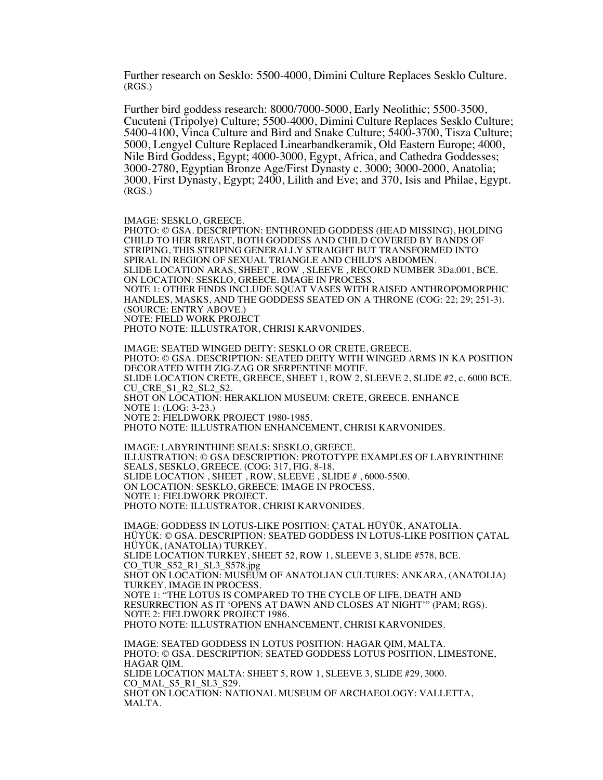Further research on Sesklo: 5500-4000, Dimini Culture Replaces Sesklo Culture. (RGS.)

Further bird goddess research: 8000/7000-5000, Early Neolithic; 5500-3500, Cucuteni (Tripolye) Culture; 5500-4000, Dimini Culture Replaces Sesklo Culture; 5400-4100, Vinca Culture and Bird and Snake Culture; 5400-3700, Tisza Culture; 5000, Lengyel Culture Replaced Linearbandkeramik, Old Eastern Europe; 4000, Nile Bird Goddess, Egypt; 4000-3000, Egypt, Africa, and Cathedra Goddesses; 3000-2780, Egyptian Bronze Age/First Dynasty c. 3000; 3000-2000, Anatolia; 3000, First Dynasty, Egypt; 2400, Lilith and Eve; and 370, Isis and Philae, Egypt. (RGS.)

IMAGE: SESKLO, GREECE.

PHOTO: © GSA. DESCRIPTION: ENTHRONED GODDESS (HEAD MISSING), HOLDING CHILD TO HER BREAST, BOTH GODDESS AND CHILD COVERED BY BANDS OF STRIPING, THIS STRIPING GENERALLY STRAIGHT BUT TRANSFORMED INTO SPIRAL IN REGION OF SEXUAL TRIANGLE AND CHILD'S ABDOMEN. SLIDE LOCATION ARAS, SHEET , ROW , SLEEVE , RECORD NUMBER 3Da.001, BCE. ON LOCATION: SESKLO, GREECE. IMAGE IN PROCESS. NOTE 1: OTHER FINDS INCLUDE SQUAT VASES WITH RAISED ANTHROPOMORPHIC HANDLES, MASKS, AND THE GODDESS SEATED ON A THRONE (COG: 22; 29; 251-3). (SOURCE: ENTRY ABOVE.) NOTE: FIELD WORK PROJECT PHOTO NOTE: ILLUSTRATOR, CHRISI KARVONIDES.

IMAGE: SEATED WINGED DEITY: SESKLO OR CRETE, GREECE. PHOTO: © GSA. DESCRIPTION: SEATED DEITY WITH WINGED ARMS IN KA POSITION DECORATED WITH ZIG-ZAG OR SERPENTINE MOTIF. SLIDE LOCATION CRETE, GREECE, SHEET 1, ROW 2, SLEEVE 2, SLIDE #2, c. 6000 BCE. CU CRE S1\_R2\_SL2\_S2. SHOT ON LOCATION: HERAKLION MUSEUM: CRETE, GREECE. ENHANCE NOTE 1: (LOG: 3-23.) NOTE 2: FIELDWORK PROJECT 1980-1985. PHOTO NOTE: ILLUSTRATION ENHANCEMENT, CHRISI KARVONIDES.

IMAGE: LABYRINTHINE SEALS: SESKLO, GREECE. ILLUSTRATION: © GSA DESCRIPTION: PROTOTYPE EXAMPLES OF LABYRINTHINE SEALS, SESKLO, GREECE. (COG: 317, FIG. 8-18. SLIDE LOCATION , SHEET , ROW, SLEEVE , SLIDE # , 6000-5500. ON LOCATION: SESKLO, GREECE: IMAGE IN PROCESS. NOTE 1: FIELDWORK PROJECT. PHOTO NOTE: ILLUSTRATOR, CHRISI KARVONIDES.

IMAGE: GODDESS IN LOTUS-LIKE POSITION: ÇATAL HÜYÜK, ANATOLIA. HÜYÜK: © GSA. DESCRIPTION: SEATED GODDESS IN LOTUS-LIKE POSITION ÇATAL HÜYÜK, (ANATOLIA) TURKEY. SLIDE LOCATION TURKEY, SHEET 52, ROW 1, SLEEVE 3, SLIDE #578, BCE. CO\_TUR\_S52\_R1\_SL3\_S578.jpg SHOT ON LOCATION: MUSEUM OF ANATOLIAN CULTURES: ANKARA, (ANATOLIA) TURKEY. IMAGE IN PROCESS. NOTE 1: "THE LOTUS IS COMPARED TO THE CYCLE OF LIFE, DEATH AND RESURRECTION AS IT 'OPENS AT DAWN AND CLOSES AT NIGHT'" (PAM; RGS). NOTE 2: FIELDWORK PROJECT 1986. PHOTO NOTE: ILLUSTRATION ENHANCEMENT, CHRISI KARVONIDES. IMAGE: SEATED GODDESS IN LOTUS POSITION: HAGAR QIM, MALTA. PHOTO: © GSA. DESCRIPTION: SEATED GODDESS LOTUS POSITION, LIMESTONE, HAGAR QIM.

SLIDE LOCATION MALTA: SHEET 5, ROW 1, SLEEVE 3, SLIDE #29, 3000. CO\_MAL\_S5\_R1\_SL3\_S29.

SHOT ON LOCATION: NATIONAL MUSEUM OF ARCHAEOLOGY: VALLETTA, MALTA.